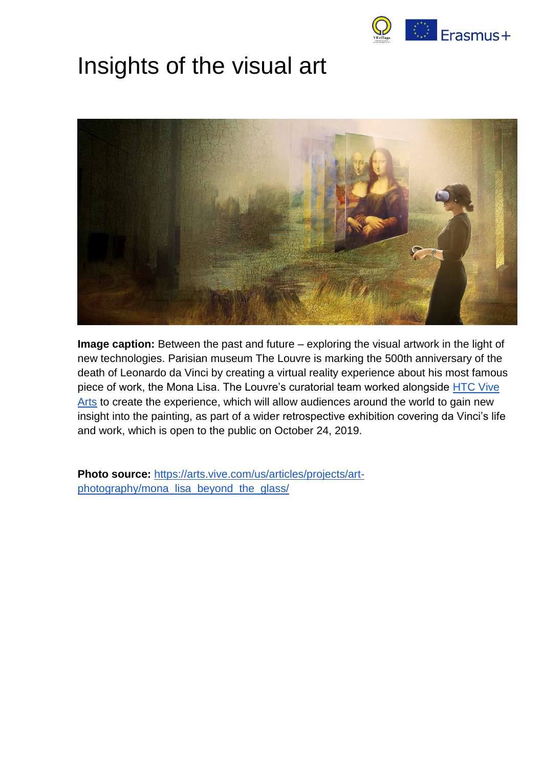

# Insights of the visual art



**Image caption:** Between the past and future – exploring the visual artwork in the light of new technologies. Parisian museum The Louvre is marking the 500th anniversary of the death of Leonardo da Vinci by creating a virtual reality experience about his most famous piece of work, the Mona Lisa. The Louvre's curatorial team worked alongside HTC Vive [Arts](https://arts.vive.com/us/) to create the experience, which will allow audiences around the world to gain new insight into the painting, as part of a wider retrospective exhibition covering da Vinci's life and work, which is open to the public on October 24, 2019.

**Photo source:** [https://arts.vive.com/us/articles/projects/art](https://arts.vive.com/us/articles/projects/art-photography/mona_lisa_beyond_the_glass/)[photography/mona\\_lisa\\_beyond\\_the\\_glass/](https://arts.vive.com/us/articles/projects/art-photography/mona_lisa_beyond_the_glass/)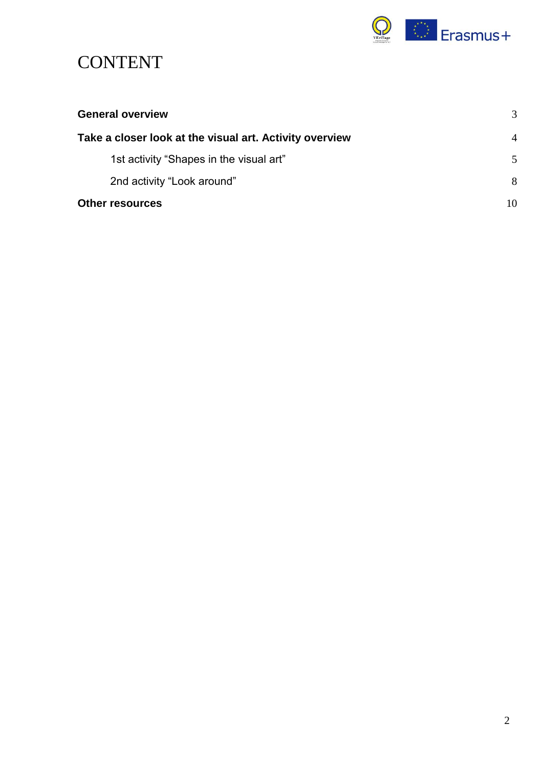

# **CONTENT**

| <b>General overview</b>                                 | 3              |
|---------------------------------------------------------|----------------|
| Take a closer look at the visual art. Activity overview | $\overline{4}$ |
| 1st activity "Shapes in the visual art"                 | 5              |
| 2nd activity "Look around"                              | 8              |
| <b>Other resources</b>                                  | 10             |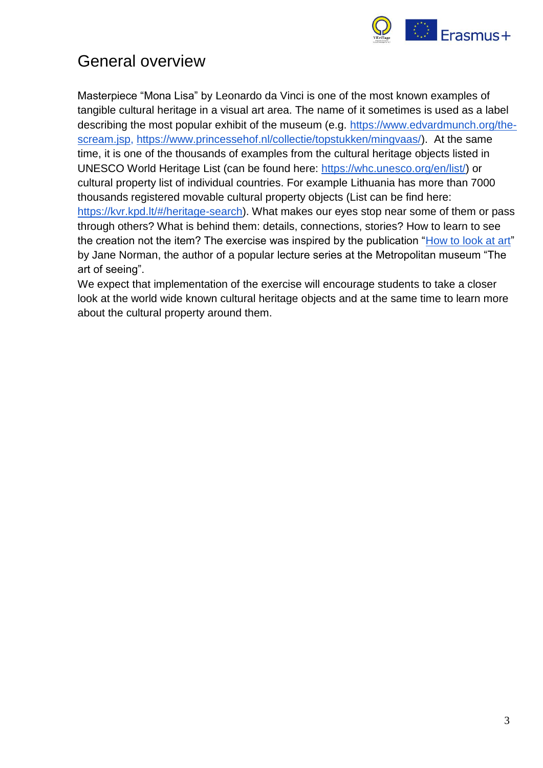

# <span id="page-2-0"></span>General overview

Masterpiece "Mona Lisa" by Leonardo da Vinci is one of the most known examples of tangible cultural heritage in a visual art area. The name of it sometimes is used as a label describing the most popular exhibit of the museum (e.g. [https://www.edvardmunch.org/the](https://www.edvardmunch.org/the-scream.jsp)[scream.jsp,](https://www.edvardmunch.org/the-scream.jsp) [https://www.princessehof.nl/collectie/topstukken/mingvaas/\)](https://www.princessehof.nl/collectie/topstukken/mingvaas/). At the same time, it is one of the thousands of examples from the cultural heritage objects listed in UNESCO World Heritage List (can be found here: [https://whc.unesco.org/en/list/\)](https://whc.unesco.org/en/list/) or cultural property list of individual countries. For example Lithuania has more than 7000 thousands registered movable cultural property objects (List can be find here: [https://kvr.kpd.lt/#/heritage-search\)](https://kvr.kpd.lt/#/heritage-search). What makes our eyes stop near some of them or pass through others? What is behind them: details, connections, stories? How to learn to see the creation not the item? The exercise was inspired by the publication ["How to look at art"](https://www.metmuseum.org/art/metpublications/The_Metropolitan_Museum_of_Art_Bulletin_v_28_no_5_January_1970) by Jane Norman, the author of a popular lecture series at the Metropolitan museum "The art of seeing".

We expect that implementation of the exercise will encourage students to take a closer look at the world wide known cultural heritage objects and at the same time to learn more about the cultural property around them.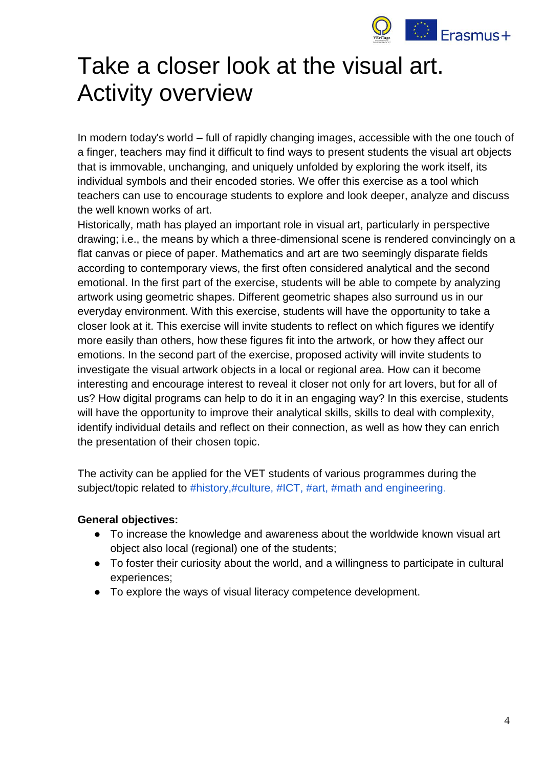

# <span id="page-3-0"></span>Take a closer look at the visual art. Activity overview

In modern today's world – full of rapidly changing images, accessible with the one touch of a finger, teachers may find it difficult to find ways to present students the visual art objects that is immovable, unchanging, and uniquely unfolded by exploring the work itself, its individual symbols and their encoded stories. We offer this exercise as a tool which teachers can use to encourage students to explore and look deeper, analyze and discuss the well known works of art.

Historically, math has played an important role in visual art, particularly in perspective drawing; i.e., the means by which a three-dimensional scene is rendered convincingly on a flat canvas or piece of paper. Mathematics and art are two seemingly disparate fields according to contemporary views, the first often considered analytical and the second emotional. In the first part of the exercise, students will be able to compete by analyzing artwork using geometric shapes. Different geometric shapes also surround us in our everyday environment. With this exercise, students will have the opportunity to take a closer look at it. This exercise will invite students to reflect on which figures we identify more easily than others, how these figures fit into the artwork, or how they affect our emotions. In the second part of the exercise, proposed activity will invite students to investigate the visual artwork objects in a local or regional area. How can it become interesting and encourage interest to reveal it closer not only for art lovers, but for all of us? How digital programs can help to do it in an engaging way? In this exercise, students will have the opportunity to improve their analytical skills, skills to deal with complexity, identify individual details and reflect on their connection, as well as how they can enrich the presentation of their chosen topic.

The activity can be applied for the VET students of various programmes during the subject/topic related to #history,#culture, #ICT, #art, #math and engineering.

#### **General objectives:**

- To increase the knowledge and awareness about the worldwide known visual art object also local (regional) one of the students;
- To foster their curiosity about the world, and a willingness to participate in cultural experiences;
- To explore the ways of visual literacy competence development.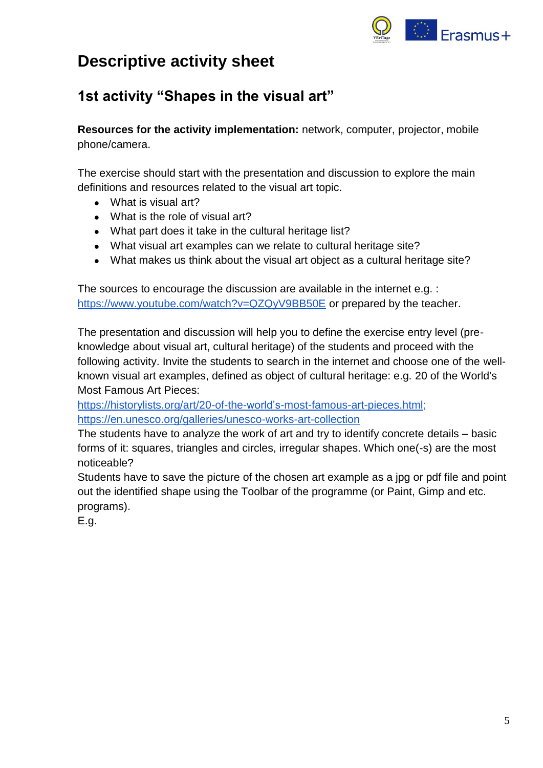

# **Descriptive activity sheet**

# <span id="page-4-0"></span>**1st activity "Shapes in the visual art"**

**Resources for the activity implementation:** network, computer, projector, mobile phone/camera.

The exercise should start with the presentation and discussion to explore the main definitions and resources related to the visual art topic.

- What is visual art?
- What is the role of visual art?
- What part does it take in the cultural heritage list?
- What visual art examples can we relate to cultural heritage site?
- What makes us think about the visual art object as a cultural heritage site?

The sources to encourage the discussion are available in the internet e.g. : <https://www.youtube.com/watch?v=QZQyV9BB50E> or prepared by the teacher.

The presentation and discussion will help you to define the exercise entry level (preknowledge about visual art, cultural heritage) of the students and proceed with the following activity. Invite the students to search in the internet and choose one of the wellknown visual art examples, defined as object of cultural heritage: e.g. 20 of the World's Most Famous Art Pieces:

[https://historylists.org/art/20-of-the-world's-most-famous-art-pieces.html;](https://historylists.org/art/20-of-the-world%E2%80%99s-most-famous-art-pieces.html) <https://en.unesco.org/galleries/unesco-works-art-collection>

The students have to analyze the work of art and try to identify concrete details – basic forms of it: squares, triangles and circles, irregular shapes. Which one(-s) are the most noticeable?

Students have to save the picture of the chosen art example as a jpg or pdf file and point out the identified shape using the Toolbar of the programme (or Paint, Gimp and etc. programs).

E.g.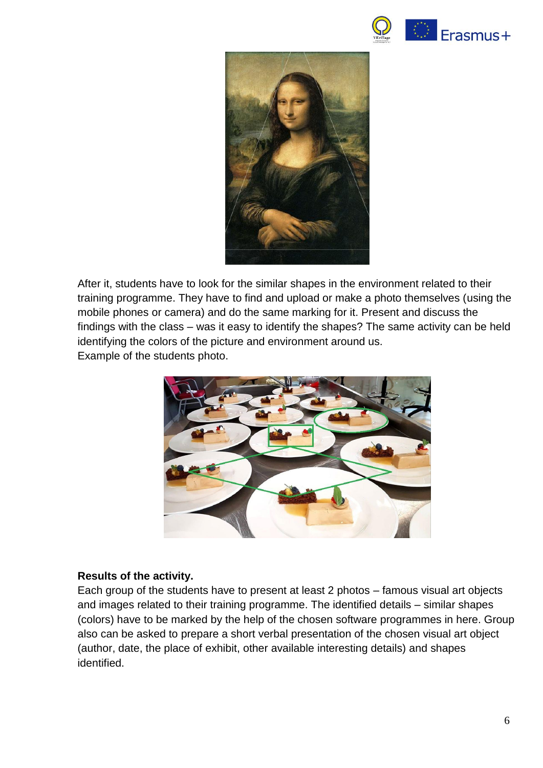



After it, students have to look for the similar shapes in the environment related to their training programme. They have to find and upload or make a photo themselves (using the mobile phones or camera) and do the same marking for it. Present and discuss the findings with the class – was it easy to identify the shapes? The same activity can be held identifying the colors of the picture and environment around us. Example of the students photo.



#### **Results of the activity.**

Each group of the students have to present at least 2 photos – famous visual art objects and images related to their training programme. The identified details – similar shapes (colors) have to be marked by the help of the chosen software programmes in here. Group also can be asked to prepare a short verbal presentation of the chosen visual art object (author, date, the place of exhibit, other available interesting details) and shapes identified.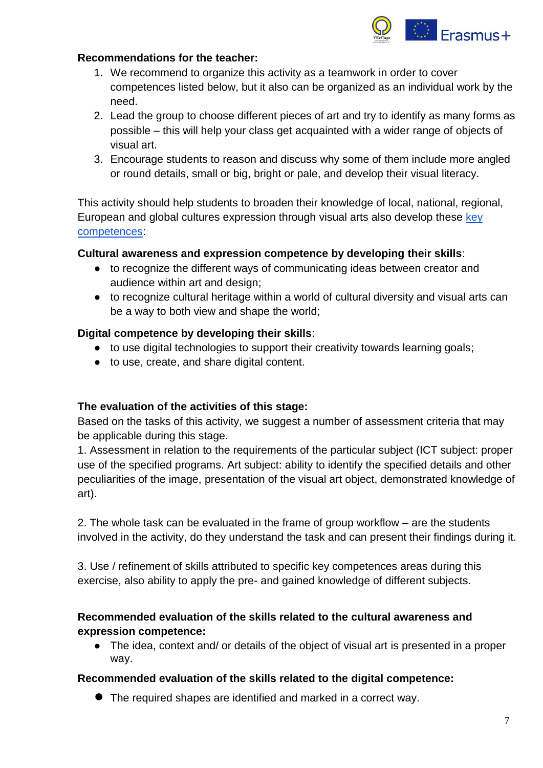

#### **Recommendations for the teacher:**

- 1. We recommend to organize this activity as a teamwork in order to cover competences listed below, but it also can be organized as an individual work by the need.
- 2. Lead the group to choose different pieces of art and try to identify as many forms as possible – this will help your class get acquainted with a wider range of objects of visual art.
- 3. Encourage students to reason and discuss why some of them include more angled or round details, small or big, bright or pale, and develop their visual literacy.

This activity should help students to broaden their knowledge of local, national, regional, European and global cultures expression through visual arts also develop these key [competences:](https://eur-lex.europa.eu/legal-content/EN/TXT/?uri=uriserv:OJ.C_.2018.189.01.0001.01.ENG)

#### **Cultural awareness and expression competence by developing their skills**:

- to recognize the different ways of communicating ideas between creator and audience within art and design;
- to recognize cultural heritage within a world of cultural diversity and visual arts can be a way to both view and shape the world;

#### **Digital competence by developing their skills**:

- to use digital technologies to support their creativity towards learning goals;
- to use, create, and share digital content.

#### **The evaluation of the activities of this stage:**

Based on the tasks of this activity, we suggest a number of assessment criteria that may be applicable during this stage.

1. Assessment in relation to the requirements of the particular subject (ICT subject: proper use of the specified programs. Art subject: ability to identify the specified details and other peculiarities of the image, presentation of the visual art object, demonstrated knowledge of art).

2. The whole task can be evaluated in the frame of group workflow – are the students involved in the activity, do they understand the task and can present their findings during it.

3. Use / refinement of skills attributed to specific key competences areas during this exercise, also ability to apply the pre- and gained knowledge of different subjects.

## **Recommended evaluation of the skills related to the cultural awareness and expression competence:**

● The idea, context and/ or details of the object of visual art is presented in a proper way.

#### **Recommended evaluation of the skills related to the digital competence:**

● The required shapes are identified and marked in a correct way.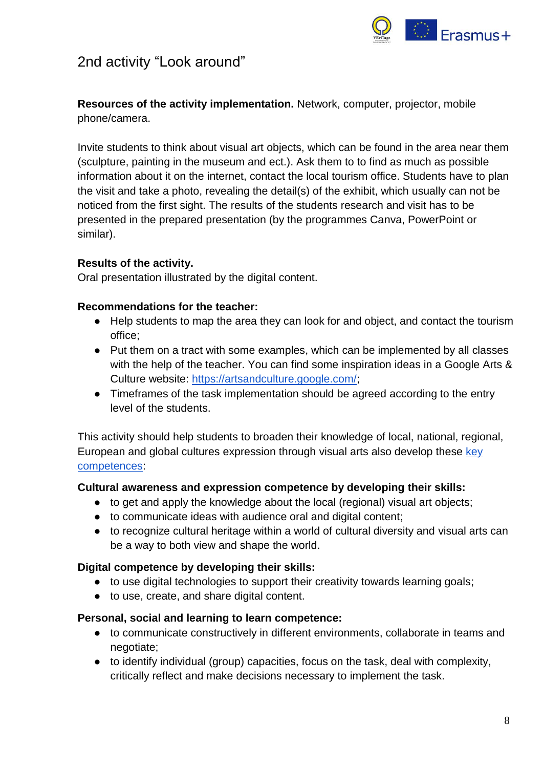

## <span id="page-7-0"></span>2nd activity "Look around"

**Resources of the activity implementation.** Network, computer, projector, mobile phone/camera.

Invite students to think about visual art objects, which can be found in the area near them (sculpture, painting in the museum and ect.). Ask them to to find as much as possible information about it on the internet, contact the local tourism office. Students have to plan the visit and take a photo, revealing the detail(s) of the exhibit, which usually can not be noticed from the first sight. The results of the students research and visit has to be presented in the prepared presentation (by the programmes Canva, PowerPoint or similar).

### **Results of the activity.**

Oral presentation illustrated by the digital content.

#### **Recommendations for the teacher:**

- Help students to map the area they can look for and object, and contact the tourism office;
- Put them on a tract with some examples, which can be implemented by all classes with the help of the teacher. You can find some inspiration ideas in a Google Arts & [Culture](https://artsandculture.google.com/) website: [https://artsandculture.google.com/;](https://artsandculture.google.com/)
- Timeframes of the task implementation should be agreed according to the entry level of the students.

This activity should help students to broaden their knowledge of local, national, regional, European and global cultures expression through visual arts also develop these key [competences:](https://eur-lex.europa.eu/legal-content/EN/TXT/?uri=uriserv:OJ.C_.2018.189.01.0001.01.ENG)

#### **Cultural awareness and expression competence by developing their skills:**

- to get and apply the knowledge about the local (regional) visual art objects;
- to communicate ideas with audience oral and digital content;
- to recognize cultural heritage within a world of cultural diversity and visual arts can be a way to both view and shape the world.

#### **Digital competence by developing their skills:**

- to use digital technologies to support their creativity towards learning goals;
- to use, create, and share digital content.

#### **Personal, social and learning to learn competence:**

- to communicate constructively in different environments, collaborate in teams and negotiate;
- to identify individual (group) capacities, focus on the task, deal with complexity, critically reflect and make decisions necessary to implement the task.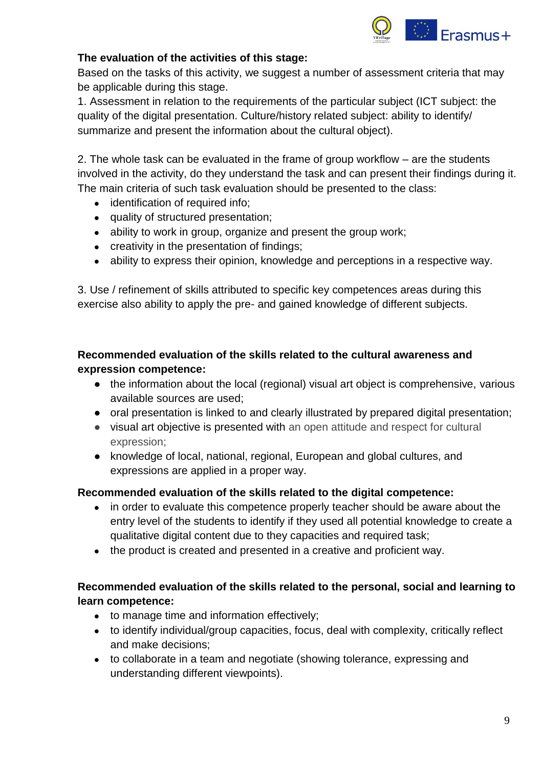

## **The evaluation of the activities of this stage:**

Based on the tasks of this activity, we suggest a number of assessment criteria that may be applicable during this stage.

1. Assessment in relation to the requirements of the particular subject (ICT subject: the quality of the digital presentation. Culture/history related subject: ability to identify/ summarize and present the information about the cultural object).

2. The whole task can be evaluated in the frame of group workflow – are the students involved in the activity, do they understand the task and can present their findings during it. The main criteria of such task evaluation should be presented to the class:

- identification of required info;
- quality of structured presentation;
- ability to work in group, organize and present the group work;
- creativity in the presentation of findings;
- ability to express their opinion, knowledge and perceptions in a respective way.

3. Use / refinement of skills attributed to specific key competences areas during this exercise also ability to apply the pre- and gained knowledge of different subjects.

## **Recommended evaluation of the skills related to the cultural awareness and expression competence:**

- the information about the local (regional) visual art object is comprehensive, various available sources are used;
- oral presentation is linked to and clearly illustrated by prepared digital presentation;
- visual art objective is presented with an open attitude and respect for cultural expression;
- knowledge of local, national, regional, European and global cultures, and expressions are applied in a proper way.

### **Recommended evaluation of the skills related to the digital competence:**

- in order to evaluate this competence properly teacher should be aware about the entry level of the students to identify if they used all potential knowledge to create a qualitative digital content due to they capacities and required task;
- the product is created and presented in a creative and proficient way.

## **Recommended evaluation of the skills related to the personal, social and learning to learn competence:**

- to manage time and information effectively;
- to identify individual/group capacities, focus, deal with complexity, critically reflect and make decisions;
- to collaborate in a team and negotiate (showing tolerance, expressing and understanding different viewpoints).